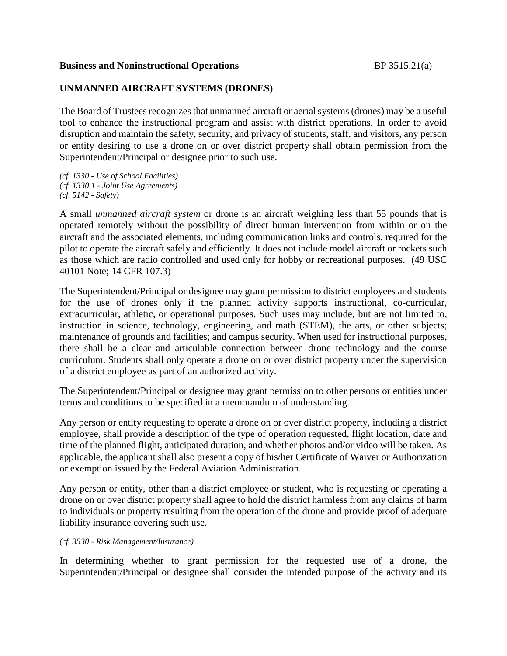### **Business and Noninstructional Operations** BP 3515.21(a)

## **UNMANNED AIRCRAFT SYSTEMS (DRONES)**

The Board of Trustees recognizes that unmanned aircraft or aerial systems (drones) may be a useful tool to enhance the instructional program and assist with district operations. In order to avoid disruption and maintain the safety, security, and privacy of students, staff, and visitors, any person or entity desiring to use a drone on or over district property shall obtain permission from the Superintendent/Principal or designee prior to such use.

*(cf. 1330 - Use of School Facilities) (cf. 1330.1 - Joint Use Agreements) (cf. 5142 - Safety)*

A small *unmanned aircraft system* or drone is an aircraft weighing less than 55 pounds that is operated remotely without the possibility of direct human intervention from within or on the aircraft and the associated elements, including communication links and controls, required for the pilot to operate the aircraft safely and efficiently. It does not include model aircraft or rockets such as those which are radio controlled and used only for hobby or recreational purposes. (49 USC 40101 Note; 14 CFR 107.3)

The Superintendent/Principal or designee may grant permission to district employees and students for the use of drones only if the planned activity supports instructional, co-curricular, extracurricular, athletic, or operational purposes. Such uses may include, but are not limited to, instruction in science, technology, engineering, and math (STEM), the arts, or other subjects; maintenance of grounds and facilities; and campus security. When used for instructional purposes, there shall be a clear and articulable connection between drone technology and the course curriculum. Students shall only operate a drone on or over district property under the supervision of a district employee as part of an authorized activity.

The Superintendent/Principal or designee may grant permission to other persons or entities under terms and conditions to be specified in a memorandum of understanding.

Any person or entity requesting to operate a drone on or over district property, including a district employee, shall provide a description of the type of operation requested, flight location, date and time of the planned flight, anticipated duration, and whether photos and/or video will be taken. As applicable, the applicant shall also present a copy of his/her Certificate of Waiver or Authorization or exemption issued by the Federal Aviation Administration.

Any person or entity, other than a district employee or student, who is requesting or operating a drone on or over district property shall agree to hold the district harmless from any claims of harm to individuals or property resulting from the operation of the drone and provide proof of adequate liability insurance covering such use.

### *(cf. 3530 - Risk Management/Insurance)*

In determining whether to grant permission for the requested use of a drone, the Superintendent/Principal or designee shall consider the intended purpose of the activity and its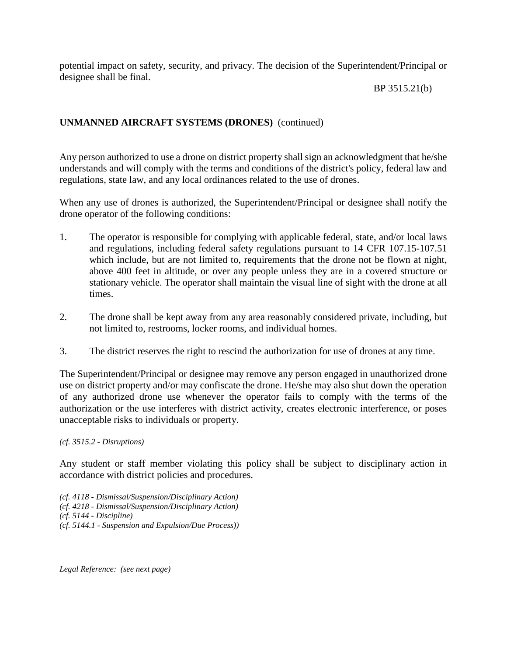potential impact on safety, security, and privacy. The decision of the Superintendent/Principal or designee shall be final.

BP 3515.21(b)

# **UNMANNED AIRCRAFT SYSTEMS (DRONES)** (continued)

Any person authorized to use a drone on district property shall sign an acknowledgment that he/she understands and will comply with the terms and conditions of the district's policy, federal law and regulations, state law, and any local ordinances related to the use of drones.

When any use of drones is authorized, the Superintendent/Principal or designee shall notify the drone operator of the following conditions:

- 1. The operator is responsible for complying with applicable federal, state, and/or local laws and regulations, including federal safety regulations pursuant to 14 CFR 107.15-107.51 which include, but are not limited to, requirements that the drone not be flown at night, above 400 feet in altitude, or over any people unless they are in a covered structure or stationary vehicle. The operator shall maintain the visual line of sight with the drone at all times.
- 2. The drone shall be kept away from any area reasonably considered private, including, but not limited to, restrooms, locker rooms, and individual homes.
- 3. The district reserves the right to rescind the authorization for use of drones at any time.

The Superintendent/Principal or designee may remove any person engaged in unauthorized drone use on district property and/or may confiscate the drone. He/she may also shut down the operation of any authorized drone use whenever the operator fails to comply with the terms of the authorization or the use interferes with district activity, creates electronic interference, or poses unacceptable risks to individuals or property.

### *(cf. 3515.2 - Disruptions)*

Any student or staff member violating this policy shall be subject to disciplinary action in accordance with district policies and procedures.

*(cf. 4118 - Dismissal/Suspension/Disciplinary Action) (cf. 4218 - Dismissal/Suspension/Disciplinary Action) (cf. 5144 - Discipline) (cf. 5144.1 - Suspension and Expulsion/Due Process))*

*Legal Reference: (see next page)*